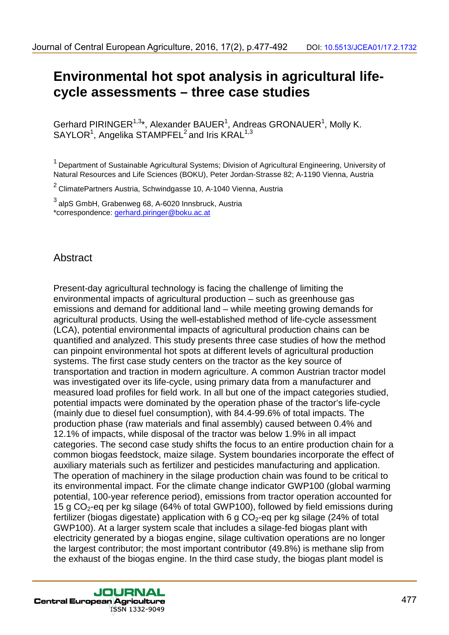# **Environmental hot spot analysis in agricultural lifecycle assessments – three case studies**

Gerhard PIRINGER<sup>1,3\*</sup>, Alexander BAUER<sup>1</sup>, Andreas GRONAUER<sup>1</sup>, Molly K.  $SAYLOR<sup>1</sup>$ , Angelika STAMPFEL<sup>2</sup> and Iris KRAL<sup>1,3</sup>

 $1$  Department of Sustainable Agricultural Systems; Division of Agricultural Engineering, University of Natural Resources and Life Sciences (BOKU), Peter Jordan-Strasse 82; A-1190 Vienna, Austria

 $2$  ClimatePartners Austria, Schwindgasse 10, A-1040 Vienna, Austria

<sup>3</sup> alpS GmbH, Grabenweg 68, A-6020 Innsbruck, Austria \*correspondence: gerhard.piringer@boku.ac.at

# Abstract

Present-day agricultural technology is facing the challenge of limiting the environmental impacts of agricultural production – such as greenhouse gas emissions and demand for additional land – while meeting growing demands for agricultural products. Using the well-established method of life-cycle assessment (LCA), potential environmental impacts of agricultural production chains can be quantified and analyzed. This study presents three case studies of how the method can pinpoint environmental hot spots at different levels of agricultural production systems. The first case study centers on the tractor as the key source of transportation and traction in modern agriculture. A common Austrian tractor model was investigated over its life-cycle, using primary data from a manufacturer and measured load profiles for field work. In all but one of the impact categories studied, potential impacts were dominated by the operation phase of the tractor's life-cycle (mainly due to diesel fuel consumption), with 84.4-99.6% of total impacts. The production phase (raw materials and final assembly) caused between 0.4% and 12.1% of impacts, while disposal of the tractor was below 1.9% in all impact categories. The second case study shifts the focus to an entire production chain for a common biogas feedstock, maize silage. System boundaries incorporate the effect of auxiliary materials such as fertilizer and pesticides manufacturing and application. The operation of machinery in the silage production chain was found to be critical to its environmental impact. For the climate change indicator GWP100 (global warming potential, 100-year reference period), emissions from tractor operation accounted for 15 g  $CO<sub>2</sub>$ -eq per kg silage (64% of total GWP100), followed by field emissions during fertilizer (biogas digestate) application with 6 g  $CO<sub>2</sub>$ -eq per kg silage (24% of total GWP100). At a larger system scale that includes a silage-fed biogas plant with electricity generated by a biogas engine, silage cultivation operations are no longer the largest contributor; the most important contributor (49.8%) is methane slip from the exhaust of the biogas engine. In the third case study, the biogas plant model is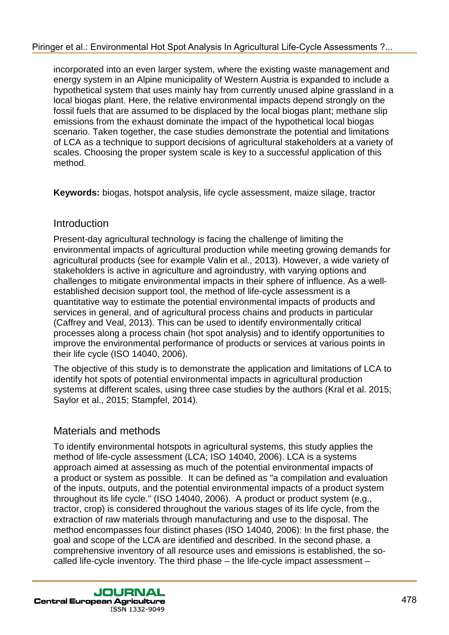incorporated into an even larger system, where the existing waste management and energy system in an Alpine municipality of Western Austria is expanded to include a hypothetical system that uses mainly hay from currently unused alpine grassland in a local biogas plant. Here, the relative environmental impacts depend strongly on the fossil fuels that are assumed to be displaced by the local biogas plant; methane slip emissions from the exhaust dominate the impact of the hypothetical local biogas scenario. Taken together, the case studies demonstrate the potential and limitations of LCA as a technique to support decisions of agricultural stakeholders at a variety of scales. Choosing the proper system scale is key to a successful application of this method.

**Keywords:** biogas, hotspot analysis, life cycle assessment, maize silage, tractor

# Introduction

Present-day agricultural technology is facing the challenge of limiting the environmental impacts of agricultural production while meeting growing demands for agricultural products (see for example Valin et al., 2013). However, a wide variety of stakeholders is active in agriculture and agroindustry, with varying options and challenges to mitigate environmental impacts in their sphere of influence. As a wellestablished decision support tool, the method of life-cycle assessment is a quantitative way to estimate the potential environmental impacts of products and services in general, and of agricultural process chains and products in particular (Caffrey and Veal, 2013). This can be used to identify environmentally critical processes along a process chain (hot spot analysis) and to identify opportunities to improve the environmental performance of products or services at various points in their life cycle (ISO 14040, 2006).

The objective of this study is to demonstrate the application and limitations of LCA to identify hot spots of potential environmental impacts in agricultural production systems at different scales, using three case studies by the authors (Kral et al. 2015; Saylor et al., 2015; Stampfel, 2014).

# Materials and methods

To identify environmental hotspots in agricultural systems, this study applies the method of life-cycle assessment (LCA; ISO 14040, 2006). LCA is a systems approach aimed at assessing as much of the potential environmental impacts of a product or system as possible. It can be defined as "a compilation and evaluation of the inputs, outputs, and the potential environmental impacts of a product system throughout its life cycle." (ISO 14040, 2006). A product or product system (e.g., tractor, crop) is considered throughout the various stages of its life cycle, from the extraction of raw materials through manufacturing and use to the disposal. The method encompasses four distinct phases (ISO 14040, 2006): In the first phase, the goal and scope of the LCA are identified and described. In the second phase, a comprehensive inventory of all resource uses and emissions is established, the socalled life-cycle inventory. The third phase – the life-cycle impact assessment –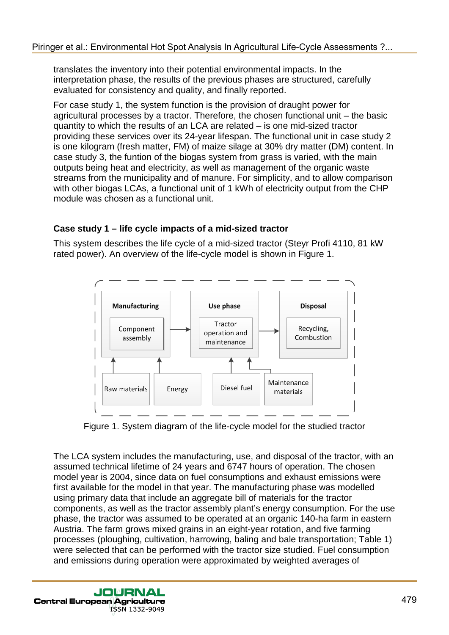translates the inventory into their potential environmental impacts. In the interpretation phase, the results of the previous phases are structured, carefully evaluated for consistency and quality, and finally reported.

For case study 1, the system function is the provision of draught power for agricultural processes by a tractor. Therefore, the chosen functional unit – the basic quantity to which the results of an LCA are related – is one mid-sized tractor providing these services over its 24-year lifespan. The functional unit in case study 2 is one kilogram (fresh matter, FM) of maize silage at 30% dry matter (DM) content. In case study 3, the funtion of the biogas system from grass is varied, with the main outputs being heat and electricity, as well as management of the organic waste streams from the municipality and of manure. For simplicity, and to allow comparison with other biogas LCAs, a functional unit of 1 kWh of electricity output from the CHP module was chosen as a functional unit.

# **Case study 1 – life cycle impacts of a mid-sized tractor**

This system describes the life cycle of a mid-sized tractor (Steyr Profi 4110, 81 kW rated power). An overview of the life-cycle model is shown in Figure 1.



Figure 1. System diagram of the life-cycle model for the studied tractor

The LCA system includes the manufacturing, use, and disposal of the tractor, with an assumed technical lifetime of 24 years and 6747 hours of operation. The chosen model year is 2004, since data on fuel consumptions and exhaust emissions were first available for the model in that year. The manufacturing phase was modelled using primary data that include an aggregate bill of materials for the tractor components, as well as the tractor assembly plant's energy consumption. For the use phase, the tractor was assumed to be operated at an organic 140-ha farm in eastern Austria. The farm grows mixed grains in an eight-year rotation, and five farming processes (ploughing, cultivation, harrowing, baling and bale transportation; Table 1) were selected that can be performed with the tractor size studied. Fuel consumption and emissions during operation were approximated by weighted averages of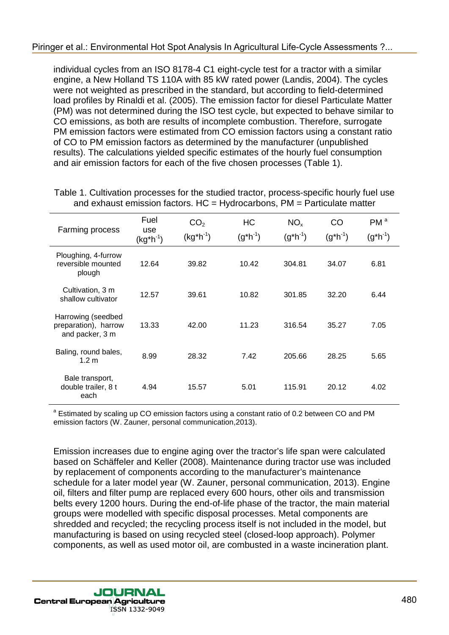individual cycles from an ISO 8178-4 C1 eight-cycle test for a tractor with a similar engine, a New Holland TS 110A with 85 kW rated power (Landis, 2004). The cycles were not weighted as prescribed in the standard, but according to field-determined load profiles by Rinaldi et al. (2005). The emission factor for diesel Particulate Matter (PM) was not determined during the ISO test cycle, but expected to behave similar to CO emissions, as both are results of incomplete combustion. Therefore, surrogate PM emission factors were estimated from CO emission factors using a constant ratio of CO to PM emission factors as determined by the manufacturer (unpublished results). The calculations yielded specific estimates of the hourly fuel consumption and air emission factors for each of the five chosen processes (Table 1).

| Farming process                                               | Fuel<br>use<br>$(kg^*h^{-1})$ | CO <sub>2</sub><br>$(kg*h-1)$ | <b>HC</b><br>$(g^*h^{-1})$ | NO <sub>x</sub><br>$(g^*h^{-1})$ | CO.<br>$(g^*h^{-1})$ | PM <sup>a</sup><br>$(g^*h^{-1})$ |
|---------------------------------------------------------------|-------------------------------|-------------------------------|----------------------------|----------------------------------|----------------------|----------------------------------|
| Ploughing, 4-furrow<br>reversible mounted<br>plough           | 12.64                         | 39.82                         | 10.42                      | 304.81                           | 34.07                | 6.81                             |
| Cultivation, 3 m<br>shallow cultivator                        | 12.57                         | 39.61                         | 10.82                      | 301.85                           | 32.20                | 6.44                             |
| Harrowing (seedbed<br>preparation), harrow<br>and packer, 3 m | 13.33                         | 42.00                         | 11.23                      | 316.54                           | 35.27                | 7.05                             |
| Baling, round bales,<br>1.2 <sub>m</sub>                      | 8.99                          | 28.32                         | 7.42                       | 205.66                           | 28.25                | 5.65                             |
| Bale transport,<br>double trailer, 8 t<br>each                | 4.94                          | 15.57                         | 5.01                       | 115.91                           | 20.12                | 4.02                             |

Table 1. Cultivation processes for the studied tractor, process-specific hourly fuel use and exhaust emission factors.  $HC = Hydrocarbons$ ,  $PM = Particulate matter$ 

<sup>a</sup> Estimated by scaling up CO emission factors using a constant ratio of 0.2 between CO and PM emission factors (W. Zauner, personal communication,2013).

Emission increases due to engine aging over the tractor's life span were calculated based on Schäffeler and Keller (2008). Maintenance during tractor use was included by replacement of components according to the manufacturer's maintenance schedule for a later model year (W. Zauner, personal communication, 2013). Engine oil, filters and filter pump are replaced every 600 hours, other oils and transmission belts every 1200 hours. During the end-of-life phase of the tractor, the main material groups were modelled with specific disposal processes. Metal components are shredded and recycled; the recycling process itself is not included in the model, but manufacturing is based on using recycled steel (closed-loop approach). Polymer components, as well as used motor oil, are combusted in a waste incineration plant.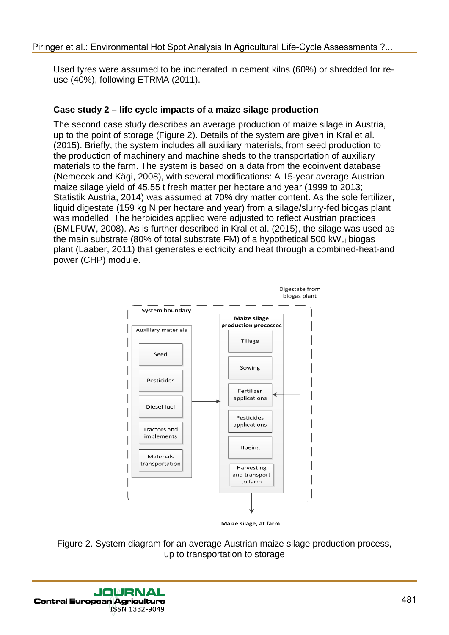Used tyres were assumed to be incinerated in cement kilns (60%) or shredded for reuse (40%), following ETRMA (2011).

# **Case study 2 – life cycle impacts of a maize silage production**

The second case study describes an average production of maize silage in Austria, up to the point of storage (Figure 2). Details of the system are given in Kral et al. (2015). Briefly, the system includes all auxiliary materials, from seed production to the production of machinery and machine sheds to the transportation of auxiliary materials to the farm. The system is based on a data from the ecoinvent database (Nemecek and Kägi, 2008), with several modifications: A 15-year average Austrian maize silage yield of 45.55 t fresh matter per hectare and year (1999 to 2013; Statistik Austria, 2014) was assumed at 70% dry matter content. As the sole fertilizer, liquid digestate (159 kg N per hectare and year) from a silage/slurry-fed biogas plant was modelled. The herbicides applied were adjusted to reflect Austrian practices (BMLFUW, 2008). As is further described in Kral et al. (2015), the silage was used as the main substrate (80% of total substrate FM) of a hypothetical 500 kW $_{el}$  biogas plant (Laaber, 2011) that generates electricity and heat through a combined-heat-and power (CHP) module.



Maize silage, at farm

Figure 2. System diagram for an average Austrian maize silage production process, up to transportation to storage

**JOURNAL Central European Agriculture** ISSN 1332-9049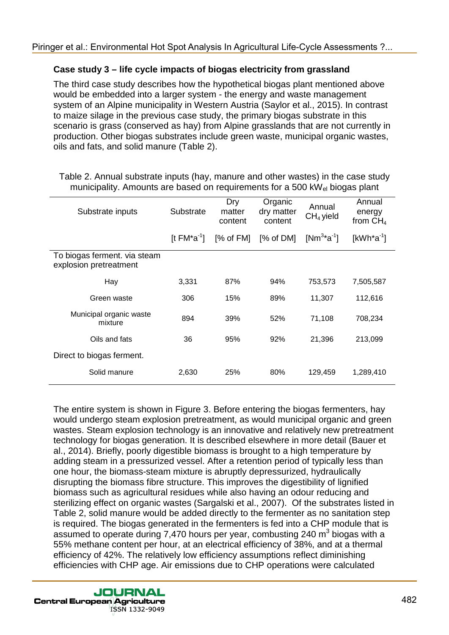# **Case study 3 – life cycle impacts of biogas electricity from grassland**

The third case study describes how the hypothetical biogas plant mentioned above would be embedded into a larger system - the energy and waste management system of an Alpine municipality in Western Austria (Saylor et al., 2015). In contrast to maize silage in the previous case study, the primary biogas substrate in this scenario is grass (conserved as hay) from Alpine grasslands that are not currently in production. Other biogas substrates include green waste, municipal organic wastes, oils and fats, and solid manure (Table 2).

| Substrate inputs                                       | Substrate         | Dry<br>matter<br>content | Organic<br>dry matter<br>content | Annual<br>$CH4$ yield | Annual<br>energy<br>from $CH4$ |
|--------------------------------------------------------|-------------------|--------------------------|----------------------------------|-----------------------|--------------------------------|
|                                                        | [t $FM^*a^{-1}$ ] | [% of FM]                | [% of DM]                        | $[Nm^{3*}a^{-1}]$     | $[kWh^*a^{-1}]$                |
| To biogas ferment. via steam<br>explosion pretreatment |                   |                          |                                  |                       |                                |
| Hay                                                    | 3,331             | 87%                      | 94%                              | 753,573               | 7,505,587                      |
| Green waste                                            | 306               | 15%                      | 89%                              | 11,307                | 112,616                        |
| Municipal organic waste<br>mixture                     | 894               | 39%                      | 52%                              | 71,108                | 708,234                        |
| Oils and fats                                          | 36                | 95%                      | 92%                              | 21,396                | 213,099                        |
| Direct to biogas ferment.                              |                   |                          |                                  |                       |                                |
| Solid manure                                           | 2,630             | 25%                      | 80%                              | 129,459               | 1,289,410                      |

Table 2. Annual substrate inputs (hay, manure and other wastes) in the case study municipality. Amounts are based on requirements for a 500 kW<sub>el</sub> biogas plant

The entire system is shown in Figure 3. Before entering the biogas fermenters, hay would undergo steam explosion pretreatment, as would municipal organic and green wastes. Steam explosion technology is an innovative and relatively new pretreatment technology for biogas generation. It is described elsewhere in more detail (Bauer et al., 2014). Briefly, poorly digestible biomass is brought to a high temperature by adding steam in a pressurized vessel. After a retention period of typically less than one hour, the biomass-steam mixture is abruptly depressurized, hydraulically disrupting the biomass fibre structure. This improves the digestibility of lignified biomass such as agricultural residues while also having an odour reducing and sterilizing effect on organic wastes (Sargalski et al., 2007). Of the substrates listed in Table 2, solid manure would be added directly to the fermenter as no sanitation step is required. The biogas generated in the fermenters is fed into a CHP module that is assumed to operate during 7,470 hours per year, combusting 240  $m<sup>3</sup>$  biogas with a 55% methane content per hour, at an electrical efficiency of 38%, and at a thermal efficiency of 42%. The relatively low efficiency assumptions reflect diminishing efficiencies with CHP age. Air emissions due to CHP operations were calculated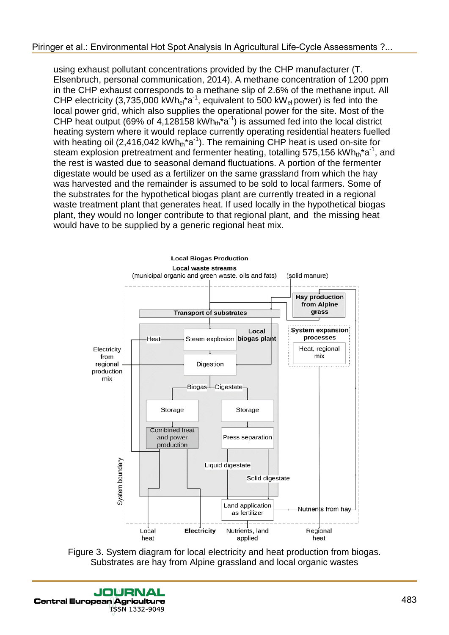using exhaust pollutant concentrations provided by the CHP manufacturer (T. Elsenbruch, personal communication, 2014). A methane concentration of 1200 ppm in the CHP exhaust corresponds to a methane slip of 2.6% of the methane input. All CHP electricity (3,735,000 kWh<sub>el</sub>\*a<sup>-1</sup>, equivalent to 500 kW<sub>el</sub> power) is fed into the local power grid, which also supplies the operational power for the site. Most of the CHP heat output (69% of 4,128158 kWh<sub>th</sub><sup>\*</sup>a<sup>-1</sup>) is assumed fed into the local district heating system where it would replace currently operating residential heaters fuelled with heating oil (2,416,042 kWh $_{th}$ <sup>\*</sup>a<sup>-1</sup>). The remaining CHP heat is used on-site for steam explosion pretreatment and fermenter heating, totalling 575,156 kWh<sub>th</sub>\*a<sup>-1</sup>, and the rest is wasted due to seasonal demand fluctuations. A portion of the fermenter digestate would be used as a fertilizer on the same grassland from which the hay was harvested and the remainder is assumed to be sold to local farmers. Some of the substrates for the hypothetical biogas plant are currently treated in a regional waste treatment plant that generates heat. If used locally in the hypothetical biogas plant, they would no longer contribute to that regional plant, and the missing heat would have to be supplied by a generic regional heat mix.



Figure 3. System diagram for local electricity and heat production from biogas. Substrates are hay from Alpine grassland and local organic wastes

JOURNAL **Central European Agriculture** ISSN 1332-9049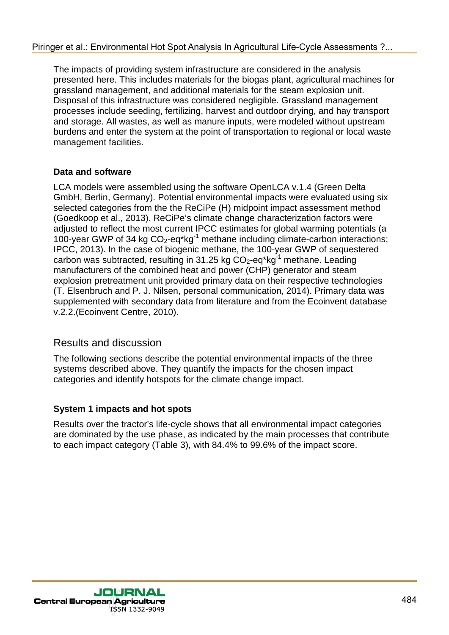The impacts of providing system infrastructure are considered in the analysis presented here. This includes materials for the biogas plant, agricultural machines for grassland management, and additional materials for the steam explosion unit. Disposal of this infrastructure was considered negligible. Grassland management processes include seeding, fertilizing, harvest and outdoor drying, and hay transport and storage. All wastes, as well as manure inputs, were modeled without upstream burdens and enter the system at the point of transportation to regional or local waste management facilities.

#### **Data and software**

LCA models were assembled using the software OpenLCA v.1.4 (Green Delta GmbH, Berlin, Germany). Potential environmental impacts were evaluated using six selected categories from the the ReCiPe (H) midpoint impact assessment method (Goedkoop et al., 2013). ReCiPe's climate change characterization factors were adjusted to reflect the most current IPCC estimates for global warming potentials (a 100-year GWP of 34 kg  $CO<sub>2</sub>$ -eq\*kg<sup>-1</sup> methane including climate-carbon interactions; IPCC, 2013). In the case of biogenic methane, the 100-year GWP of sequestered carbon was subtracted, resulting in 31.25 kg  $CO<sub>2</sub>$ -eg\*kg<sup>-1</sup> methane. Leading manufacturers of the combined heat and power (CHP) generator and steam explosion pretreatment unit provided primary data on their respective technologies (T. Elsenbruch and P. J. Nilsen, personal communication, 2014). Primary data was supplemented with secondary data from literature and from the Ecoinvent database v.2.2.(Ecoinvent Centre, 2010).

# Results and discussion

The following sections describe the potential environmental impacts of the three systems described above. They quantify the impacts for the chosen impact categories and identify hotspots for the climate change impact.

# **System 1 impacts and hot spots**

Results over the tractor's life-cycle shows that all environmental impact categories are dominated by the use phase, as indicated by the main processes that contribute to each impact category (Table 3), with 84.4% to 99.6% of the impact score.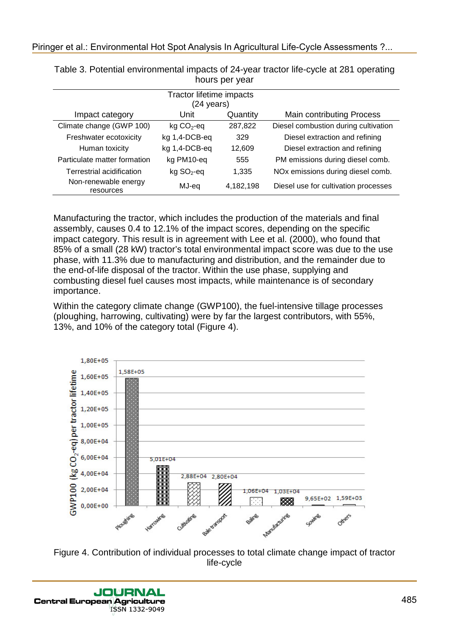| Tractor lifetime impacts<br>(24 years) |               |           |                                      |  |  |
|----------------------------------------|---------------|-----------|--------------------------------------|--|--|
| Impact category                        | Unit          | Quantity  | <b>Main contributing Process</b>     |  |  |
| Climate change (GWP 100)               | $kg CO2$ -eq  | 287,822   | Diesel combustion during cultivation |  |  |
| Freshwater ecotoxicity                 | kg 1,4-DCB-eq | 329       | Diesel extraction and refining       |  |  |
| Human toxicity                         | kg 1,4-DCB-eq | 12.609    | Diesel extraction and refining       |  |  |
| Particulate matter formation           | kg PM10-eq    | 555       | PM emissions during diesel comb.     |  |  |
| Terrestrial acidification              | $kg SO2$ -eq  | 1.335     | NOx emissions during diesel comb.    |  |  |
| Non-renewable energy<br>resources      | MJ-eq         | 4,182,198 | Diesel use for cultivation processes |  |  |

Table 3. Potential environmental impacts of 24-year tractor life-cycle at 281 operating hours per year

Manufacturing the tractor, which includes the production of the materials and final assembly, causes 0.4 to 12.1% of the impact scores, depending on the specific impact category. This result is in agreement with Lee et al. (2000), who found that 85% of a small (28 kW) tractor's total environmental impact score was due to the use phase, with 11.3% due to manufacturing and distribution, and the remainder due to the end-of-life disposal of the tractor. Within the use phase, supplying and combusting diesel fuel causes most impacts, while maintenance is of secondary importance.

Within the category climate change (GWP100), the fuel-intensive tillage processes (ploughing, harrowing, cultivating) were by far the largest contributors, with 55%, 13%, and 10% of the category total (Figure 4).



Figure 4. Contribution of individual processes to total climate change impact of tractor life-cycle

JOURNAL **Central European Agriculture** ISSN 1332-9049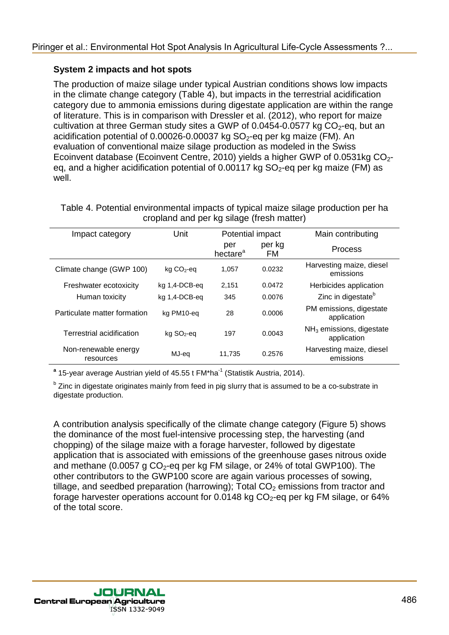#### **System 2 impacts and hot spots**

The production of maize silage under typical Austrian conditions shows low impacts in the climate change category (Table 4), but impacts in the terrestrial acidification category due to ammonia emissions during digestate application are within the range of literature. This is in comparison with Dressler et al. (2012), who report for maize cultivation at three German study sites a GWP of 0.0454-0.0577 kg  $CO<sub>2</sub>$ -eg, but an acidification potential of 0.00026-0.00037 kg  $SO_2$ -eq per kg maize (FM). An evaluation of conventional maize silage production as modeled in the Swiss Ecoinvent database (Ecoinvent Centre, 2010) yields a higher GWP of 0.0531kg  $CO<sub>2</sub>$ eq, and a higher acidification potential of 0.00117 kg  $SO_2$ -eq per kg maize (FM) as well.

| Unit<br>Impact category           |                          | Potential impact            |                     | Main contributing                         |
|-----------------------------------|--------------------------|-----------------------------|---------------------|-------------------------------------------|
|                                   |                          | per<br>hectare <sup>a</sup> | per kg<br><b>FM</b> | <b>Process</b>                            |
| Climate change (GWP 100)          | $kg CO2$ -eq             | 1,057                       | 0.0232              | Harvesting maize, diesel<br>emissions     |
| Freshwater ecotoxicity            | kg 1,4-DCB-eg            | 2,151                       | 0.0472              | Herbicides application                    |
| Human toxicity                    | kg 1,4-DCB-eq            | 345                         | 0.0076              | Zinc in digestate <sup>b</sup>            |
| Particulate matter formation      | kg PM10-eg               | 28                          | 0.0006              | PM emissions, digestate<br>application    |
| Terrestrial acidification         | $kg$ SO <sub>2</sub> -eq | 197                         | 0.0043              | $NH3$ emissions, digestate<br>application |
| Non-renewable energy<br>resources | MJ-eg                    | 11.735                      | 0.2576              | Harvesting maize, diesel<br>emissions     |

Table 4. Potential environmental impacts of typical maize silage production per ha cropland and per kg silage (fresh matter)

<sup>a</sup> 15-year average Austrian yield of 45.55 t FM<sup>\*</sup>ha<sup>-1</sup> (Statistik Austria, 2014).

**b** Zinc in digestate originates mainly from feed in pig slurry that is assumed to be a co-substrate in digestate production.

A contribution analysis specifically of the climate change category (Figure 5) shows the dominance of the most fuel-intensive processing step, the harvesting (and chopping) of the silage maize with a forage harvester, followed by digestate application that is associated with emissions of the greenhouse gases nitrous oxide and methane (0.0057 g  $CO<sub>2</sub>$ -eq per kg FM silage, or 24% of total GWP100). The other contributors to the GWP100 score are again various processes of sowing, tillage, and seedbed preparation (harrowing); Total  $CO<sub>2</sub>$  emissions from tractor and forage harvester operations account for 0.0148 kg  $CO<sub>2</sub>$ -eq per kg FM silage, or 64% of the total score.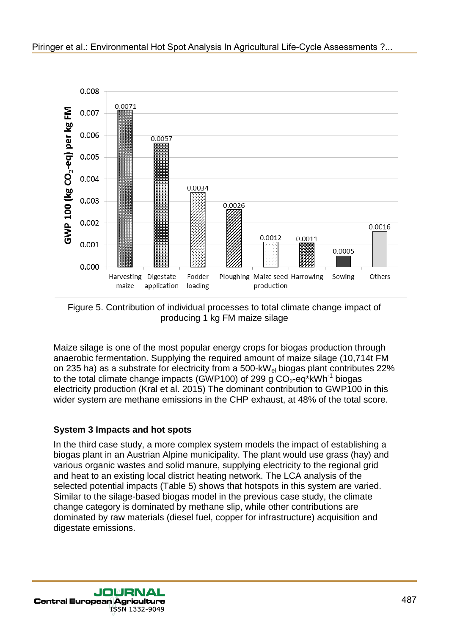

Figure 5. Contribution of individual processes to total climate change impact of producing 1 kg FM maize silage

Maize silage is one of the most popular energy crops for biogas production through anaerobic fermentation. Supplying the required amount of maize silage (10,714t FM on 235 ha) as a substrate for electricity from a 500-kWel biogas plant contributes 22% to the total climate change impacts (GWP100) of 299 g  $CO<sub>2</sub>$ -eq\*kWh<sup>-1</sup> biogas electricity production (Kral et al. 2015) The dominant contribution to GWP100 in this wider system are methane emissions in the CHP exhaust, at 48% of the total score.

# **System 3 Impacts and hot spots**

In the third case study, a more complex system models the impact of establishing a biogas plant in an Austrian Alpine municipality. The plant would use grass (hay) and various organic wastes and solid manure, supplying electricity to the regional grid and heat to an existing local district heating network. The LCA analysis of the selected potential impacts (Table 5) shows that hotspots in this system are varied. Similar to the silage-based biogas model in the previous case study, the climate change category is dominated by methane slip, while other contributions are dominated by raw materials (diesel fuel, copper for infrastructure) acquisition and digestate emissions.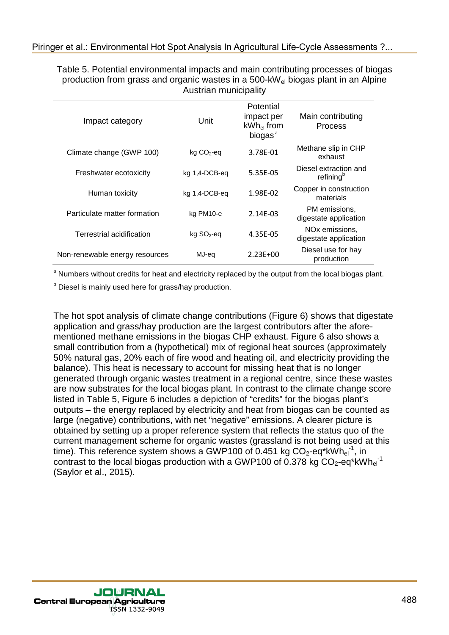| Impact category                | Unit                     | Potential<br>impact per<br>$kWh_{el}$ from<br>biogas <sup>ª</sup> | Main contributing<br><b>Process</b>                 |
|--------------------------------|--------------------------|-------------------------------------------------------------------|-----------------------------------------------------|
| Climate change (GWP 100)       | $kg CO2$ -eq             | 3.78E-01                                                          | Methane slip in CHP<br>exhaust                      |
| Freshwater ecotoxicity         | kg 1,4-DCB-eg            | 5.35E-05                                                          | Diesel extraction and<br>refining <sup>b</sup>      |
| Human toxicity                 | kg 1,4-DCB-eq            | 1.98E-02                                                          | Copper in construction<br>materials                 |
| Particulate matter formation   | kg PM10-e                | $2.14F - 03$                                                      | PM emissions,<br>digestate application              |
| Terrestrial acidification      | $kg$ SO <sub>2</sub> -eq | 4.35E-05                                                          | NO <sub>x</sub> emissions,<br>digestate application |
| Non-renewable energy resources | MJ-eq                    | $2.23F + 00$                                                      | Diesel use for hay<br>production                    |

Table 5. Potential environmental impacts and main contributing processes of biogas production from grass and organic wastes in a 500-kWel biogas plant in an Alpine Austrian municipality

<sup>a</sup> Numbers without credits for heat and electricity replaced by the output from the local biogas plant.

**b** Diesel is mainly used here for grass/hay production.

The hot spot analysis of climate change contributions (Figure 6) shows that digestate application and grass/hay production are the largest contributors after the aforementioned methane emissions in the biogas CHP exhaust. Figure 6 also shows a small contribution from a (hypothetical) mix of regional heat sources (approximately 50% natural gas, 20% each of fire wood and heating oil, and electricity providing the balance). This heat is necessary to account for missing heat that is no longer generated through organic wastes treatment in a regional centre, since these wastes are now substrates for the local biogas plant. In contrast to the climate change score listed in Table 5, Figure 6 includes a depiction of "credits" for the biogas plant's outputs – the energy replaced by electricity and heat from biogas can be counted as large (negative) contributions, with net "negative" emissions. A clearer picture is obtained by setting up a proper reference system that reflects the status quo of the current management scheme for organic wastes (grassland is not being used at this time). This reference system shows a GWP100 of 0.451 kg  $CO_2$ -eq\*kWh $_{el}$ <sup>-1</sup>, in contrast to the local biogas production with a GWP100 of 0.378 kg  $CO_2$ -eq\*kWh $_{\rm el}^{-1}$ (Saylor et al., 2015).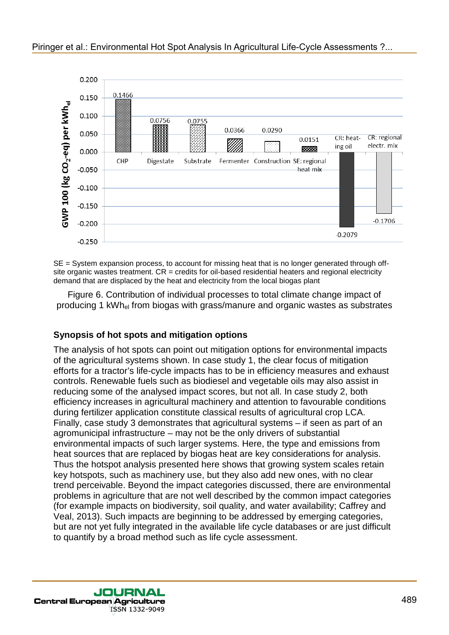

SE = System expansion process, to account for missing heat that is no longer generated through offsite organic wastes treatment.  $CR =$  credits for oil-based residential heaters and regional electricity demand that are displaced by the heat and electricity from the local biogas plant

Figure 6. Contribution of individual processes to total climate change impact of producing 1 kWhel from biogas with grass/manure and organic wastes as substrates

#### **Synopsis of hot spots and mitigation options**

The analysis of hot spots can point out mitigation options for environmental impacts of the agricultural systems shown. In case study 1, the clear focus of mitigation efforts for a tractor's life-cycle impacts has to be in efficiency measures and exhaust controls. Renewable fuels such as biodiesel and vegetable oils may also assist in reducing some of the analysed impact scores, but not all. In case study 2, both efficiency increases in agricultural machinery and attention to favourable conditions during fertilizer application constitute classical results of agricultural crop LCA. Finally, case study 3 demonstrates that agricultural systems – if seen as part of an agromunicipal infrastructure – may not be the only drivers of substantial environmental impacts of such larger systems. Here, the type and emissions from heat sources that are replaced by biogas heat are key considerations for analysis. Thus the hotspot analysis presented here shows that growing system scales retain key hotspots, such as machinery use, but they also add new ones, with no clear trend perceivable. Beyond the impact categories discussed, there are environmental problems in agriculture that are not well described by the common impact categories (for example impacts on biodiversity, soil quality, and water availability; Caffrey and Veal, 2013). Such impacts are beginning to be addressed by emerging categories, but are not yet fully integrated in the available life cycle databases or are just difficult to quantify by a broad method such as life cycle assessment.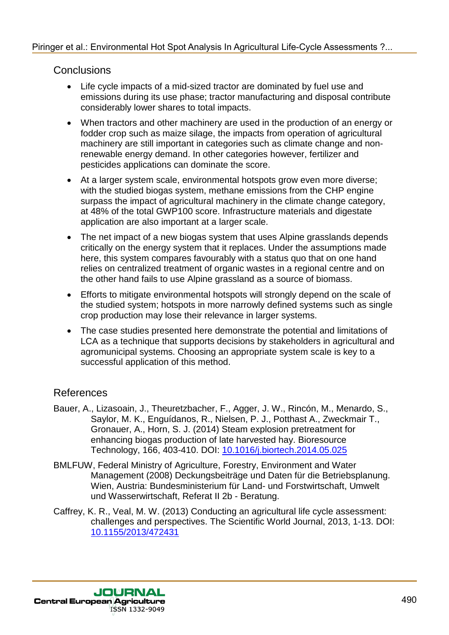# **Conclusions**

- Life cycle impacts of a mid-sized tractor are dominated by fuel use and emissions during its use phase; tractor manufacturing and disposal contribute considerably lower shares to total impacts.
- When tractors and other machinery are used in the production of an energy or fodder crop such as maize silage, the impacts from operation of agricultural machinery are still important in categories such as climate change and nonrenewable energy demand. In other categories however, fertilizer and pesticides applications can dominate the score.
- At a larger system scale, environmental hotspots grow even more diverse; with the studied biogas system, methane emissions from the CHP engine surpass the impact of agricultural machinery in the climate change category, at 48% of the total GWP100 score. Infrastructure materials and digestate application are also important at a larger scale.
- The net impact of a new biogas system that uses Alpine grasslands depends critically on the energy system that it replaces. Under the assumptions made here, this system compares favourably with a status quo that on one hand relies on centralized treatment of organic wastes in a regional centre and on the other hand fails to use Alpine grassland as a source of biomass.
- Efforts to mitigate environmental hotspots will strongly depend on the scale of the studied system; hotspots in more narrowly defined systems such as single crop production may lose their relevance in larger systems.
- The case studies presented here demonstrate the potential and limitations of LCA as a technique that supports decisions by stakeholders in agricultural and agromunicipal systems. Choosing an appropriate system scale is key to a successful application of this method.

# References

- Bauer, A., Lizasoain, J., Theuretzbacher, F., Agger, J. W., Rincón, M., Menardo, S., Saylor, M. K., Enguídanos, R., Nielsen, P. J., Potthast A., Zweckmair T., Gronauer, A., Horn, S. J. (2014) Steam explosion pretreatment for enhancing biogas production of late harvested hay. Bioresource Technology, 166, 403-410. DOI: 10.1016/j.biortech.2014.05.025
- BMLFUW, Federal Ministry of Agriculture, Forestry, Environment and Water Management (2008) Deckungsbeiträge und Daten für die Betriebsplanung. Wien, Austria: Bundesministerium für Land- und Forstwirtschaft, Umwelt und Wasserwirtschaft, Referat II 2b - Beratung.
- Caffrey, K. R., Veal, M. W. (2013) Conducting an agricultural life cycle assessment: challenges and perspectives. The Scientific World Journal, 2013, 1-13. DOI: 10.1155/2013/472431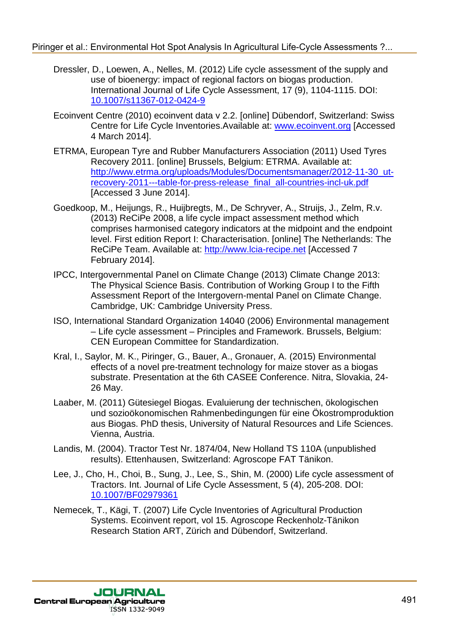- Dressler, D., Loewen, A., Nelles, M. (2012) Life cycle assessment of the supply and use of bioenergy: impact of regional factors on biogas production. International Journal of Life Cycle Assessment, 17 (9), 1104-1115. DOI: 10.1007/s11367-012-0424-9
- Ecoinvent Centre (2010) ecoinvent data v 2.2. [online] Dübendorf, Switzerland: Swiss Centre for Life Cycle Inventories.Available at: www.ecoinvent.org [Accessed 4 March 2014].
- ETRMA, European Tyre and Rubber Manufacturers Association (2011) Used Tyres Recovery 2011. [online] Brussels, Belgium: ETRMA. Available at: http://www.etrma.org/uploads/Modules/Documentsmanager/2012-11-30\_utrecovery-2011---table-for-press-release\_final\_all-countries-incl-uk.pdf [Accessed 3 June 2014].
- Goedkoop, M., Heijungs, R., Huijbregts, M., De Schryver, A., Struijs, J., Zelm, R.v. (2013) ReCiPe 2008, a life cycle impact assessment method which comprises harmonised category indicators at the midpoint and the endpoint level. First edition Report I: Characterisation. [online] The Netherlands: The ReCiPe Team. Available at: http://www.lcia-recipe.net [Accessed 7 February 2014].
- IPCC, Intergovernmental Panel on Climate Change (2013) Climate Change 2013: The Physical Science Basis. Contribution of Working Group I to the Fifth Assessment Report of the Intergovern-mental Panel on Climate Change. Cambridge, UK: Cambridge University Press.
- ISO, International Standard Organization 14040 (2006) Environmental management – Life cycle assessment – Principles and Framework. Brussels, Belgium: CEN European Committee for Standardization.
- Kral, I., Saylor, M. K., Piringer, G., Bauer, A., Gronauer, A. (2015) Environmental effects of a novel pre-treatment technology for maize stover as a biogas substrate. Presentation at the 6th CASEE Conference. Nitra, Slovakia, 24- 26 May.
- Laaber, M. (2011) Gütesiegel Biogas. Evaluierung der technischen, ökologischen und sozioökonomischen Rahmenbedingungen für eine Ökostromproduktion aus Biogas. PhD thesis, University of Natural Resources and Life Sciences. Vienna, Austria.
- Landis, M. (2004). Tractor Test Nr. 1874/04, New Holland TS 110A (unpublished results). Ettenhausen, Switzerland: Agroscope FAT Tänikon.
- Lee, J., Cho, H., Choi, B., Sung, J., Lee, S., Shin, M. (2000) Life cycle assessment of Tractors. Int. Journal of Life Cycle Assessment, 5 (4), 205-208. DOI: 10.1007/BF02979361
- Nemecek, T., Kägi, T. (2007) Life Cycle Inventories of Agricultural Production Systems. Ecoinvent report, vol 15. Agroscope Reckenholz-Tänikon Research Station ART, Zürich and Dübendorf, Switzerland.